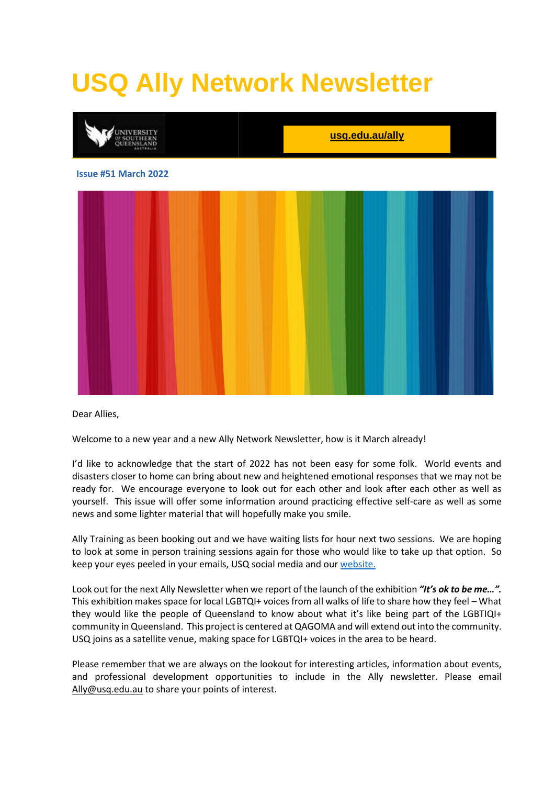# **USQ Ally Network Newsletter**



Dear Allies,

Welcome to a new year and a new Ally Network Newsletter, how is it March already!

I'd like to acknowledge that the start of 2022 has not been easy for some folk. World events and disasters closer to home can bring about new and heightened emotional responses that we may not be ready for. We encourage everyone to look out for each other and look after each other as well as yourself. This issue will offer some information around practicing effective self-care as well as some news and some lighter material that will hopefully make you smile.

Ally Training as been booking out and we have waiting lists for hour next two sessions. We are hoping to look at some in person training sessions again for those who would like to take up that option. So keep your eyes peeled in your emails, USQ social media and our [website.](https://www.usq.edu.au/current-students/support/lgbtiq-community)

Look out for the next Ally Newsletter when we report of the launch of the exhibition *"It's ok to be me…".* This exhibition makes space for local LGBTQI+ voices from all walks of life to share how they feel – What they would like the people of Queensland to know about what it's like being part of the LGBTIQI+ community in Queensland. This project is centered at QAGOMA and will extend out into the community. USQ joins as a satellite venue, making space for LGBTQI+ voices in the area to be heard.

Please remember that we are always on the lookout for interesting articles, information about events, and professional development opportunities to include in the Ally newsletter. Please email [Ally@usq.edu.au](mailto:Ally@usq.edu.au) to share your points of interest.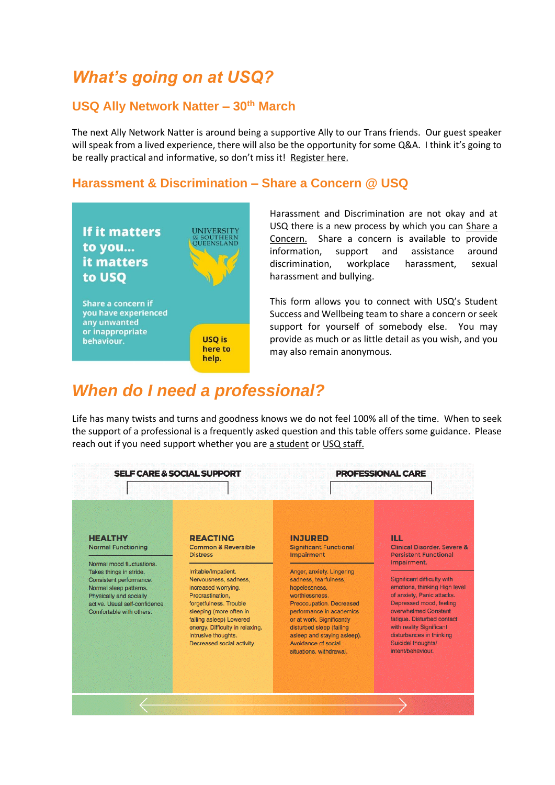# *What's going on at USQ?*

#### **USQ Ally Network Natter – 30th March**

The next Ally Network Natter is around being a supportive Ally to our Trans friends. Our guest speaker will speak from a lived experience, there will also be the opportunity for some Q&A. I think it's going to be really practical and informative, so don't miss it! [Register here.](https://usq.zoom.us/webinar/register/WN_sQSXuALOQEyHu4izDS5_DQ)

#### **Harassment & Discrimination – Share a Concern @ USQ**



Harassment and Discrimination are not okay and at USQ there is a new process by which you can Share a [Concern.](https://usq-advocate.symplicity.com/care_report/index.php/pid566953) Share a concern is available to provide information, support and assistance around discrimination, workplace harassment, sexual harassment and bullying.

This form allows you to connect with USQ's Student Success and Wellbeing team to share a concern or seek support for yourself of somebody else. You may provide as much or as little detail as you wish, and you may also remain anonymous.

### *When do I need a professional?*

Life has many twists and turns and goodness knows we do not feel 100% all of the time. When to seek the support of a professional is a frequently asked question and this table offers some guidance. Please reach out if you need support whether you are [a student](https://www.usq.edu.au/current-students/support/counselling) or [USQ staff.](https://assureprograms.com.au/)

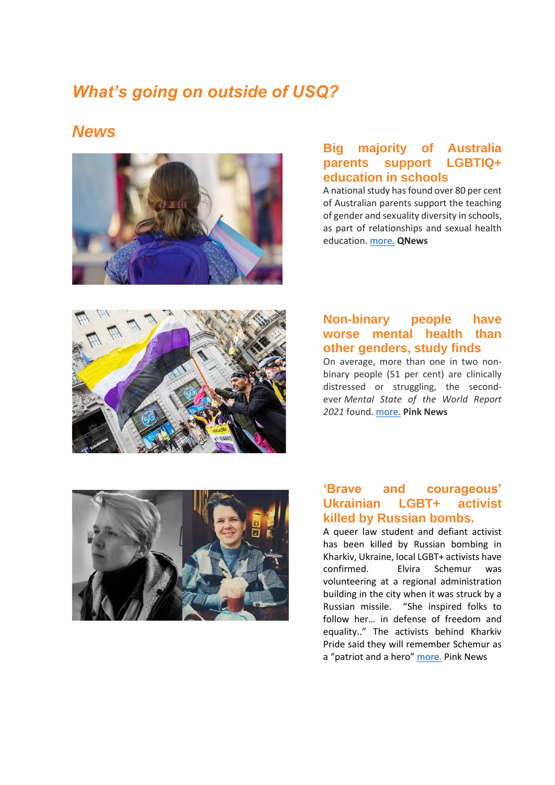### *What's going on outside of USQ?*

### *News*



#### **Big majority of Australia parents support LGBTIQ+ education in schools**

A national study has found over 80 per cent of Australian parents support the teaching of gender and sexuality diversity in schools, as part of relationships and sexual health education[. more.](https://qnews.com.au/big-majority-of-australian-parents-support-lgbtiq-education-in-schools/) **QNews**



#### **Non-binary people have worse mental health than other genders, study finds**

On average, more than one in two nonbinary people (51 per cent) are clinically distressed or struggling, the secondever *Mental State of the World Report 2021* found[. more.](https://www.pinknews.co.uk/2022/03/19/non-binary-mental-health-global-study/) **Pink News**



#### **'Brave and courageous' Ukrainian LGBT+ activist killed by Russian bombs.**

A queer law student and defiant activist has been killed by Russian bombing in Kharkiv, Ukraine, local LGBT+ activists have confirmed. Elvira Schemur was volunteering at a regional administration building in the city when it was struck by a Russian missile. "She inspired folks to follow her… in defense of freedom and equality.." The activists behind Kharkiv Pride said they will remember Schemur as a "patriot and a hero" [more.](https://www.pinknews.co.uk/2022/03/18/ukraine-russia-war-elvira-schemur-death-tribute-lgbt/) Pink News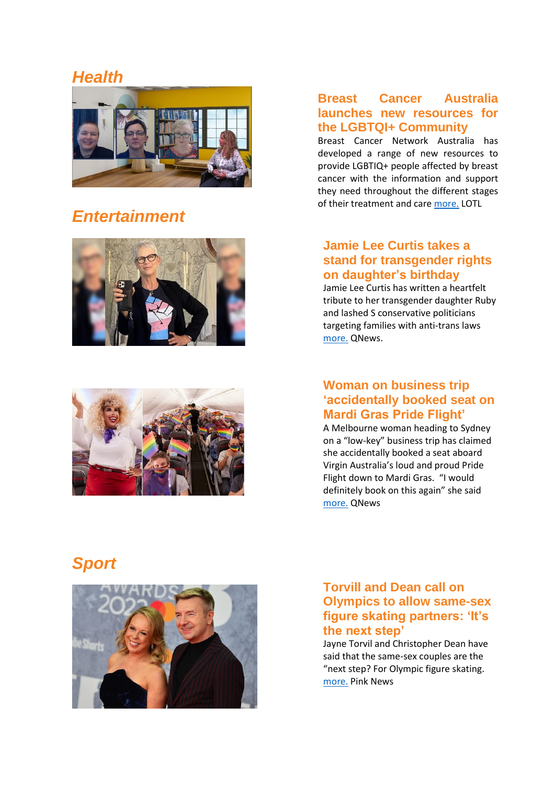### *Health*



### *Entertainment*





#### **Breast Cancer Australia launches new resources for the LGBTQI+ Community**

Breast Cancer Network Australia has developed a range of new resources to provide LGBTIQ+ people affected by breast cancer with the information and support they need throughout the different stages of their treatment and car[e more.](https://www.lotl.com/lifestyle/health/breast-cancer-australia-launches-new-resources-for-the-lgbtqi-community/) LOTL

#### **Jamie Lee Curtis takes a stand for transgender rights on daughter's birthday**

Jamie Lee Curtis has written a heartfelt tribute to her transgender daughter Ruby and lashed S conservative politicians targeting families with anti-trans laws [more.](https://qnews.com.au/jamie-lee-curtis-takes-stand-for-trans-rights-on-daughters-birthday/) QNews.

#### **Woman on business trip 'accidentally booked seat on Mardi Gras Pride Flight'**

A Melbourne woman heading to Sydney on a "low-key" business trip has claimed she accidentally booked a seat aboard Virgin Australia's loud and proud Pride Flight down to Mardi Gras. "I would definitely book on this again" she said [more.](https://qnews.com.au/woman-on-business-trip-accidentally-booked-seat-on-mardi-gras-pride-flight/) QNews

### *Sport*



#### **Torvill and Dean call on Olympics to allow same-sex figure skating partners: 'It's the next step'**

Jayne Torvil and Christopher Dean have said that the same-sex couples are the "next step? For Olympic figure skating. [more.](https://www.pinknews.co.uk/2022/03/14/jayne-torvill-christopher-dean-dancing-on-ice-same-sex-olympics/) Pink News